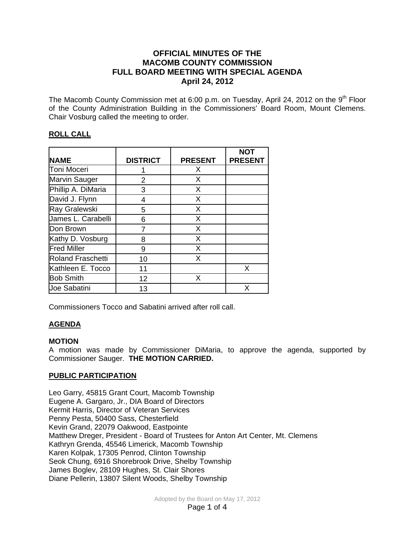## **OFFICIAL MINUTES OF THE MACOMB COUNTY COMMISSION FULL BOARD MEETING WITH SPECIAL AGENDA April 24, 2012**

The Macomb County Commission met at 6:00 p.m. on Tuesday, April 24, 2012 on the  $9<sup>th</sup>$  Floor of the County Administration Building in the Commissioners' Board Room, Mount Clemens. Chair Vosburg called the meeting to order.

# **ROLL CALL**

| <b>NAME</b>              | <b>DISTRICT</b> | <b>PRESENT</b> | <b>NOT</b><br><b>PRESENT</b> |
|--------------------------|-----------------|----------------|------------------------------|
| Toni Moceri              |                 | X              |                              |
| Marvin Sauger            | 2               | X              |                              |
| Phillip A. DiMaria       | 3               | X              |                              |
| David J. Flynn           | 4               | X              |                              |
| Ray Gralewski            | 5               | X              |                              |
| James L. Carabelli       | 6               | X              |                              |
| Don Brown                |                 | X              |                              |
| Kathy D. Vosburg         | 8               | X              |                              |
| <b>Fred Miller</b>       | 9               | X              |                              |
| <b>Roland Fraschetti</b> | 10              | X              |                              |
| Kathleen E. Tocco        | 11              |                | X                            |
| <b>Bob Smith</b>         | 12              | X              |                              |
| <b>Joe Sabatini</b>      | 13              |                | X                            |

Commissioners Tocco and Sabatini arrived after roll call.

# **AGENDA**

### **MOTION**

A motion was made by Commissioner DiMaria, to approve the agenda, supported by Commissioner Sauger. **THE MOTION CARRIED.** 

### **PUBLIC PARTICIPATION**

Leo Garry, 45815 Grant Court, Macomb Township Eugene A. Gargaro, Jr., DIA Board of Directors Kermit Harris, Director of Veteran Services Penny Pesta, 50400 Sass, Chesterfield Kevin Grand, 22079 Oakwood, Eastpointe Matthew Dreger, President - Board of Trustees for Anton Art Center, Mt. Clemens Kathryn Grenda, 45546 Limerick, Macomb Township Karen Kolpak, 17305 Penrod, Clinton Township Seok Chung, 6916 Shorebrook Drive, Shelby Township James Boglev, 28109 Hughes, St. Clair Shores Diane Pellerin, 13807 Silent Woods, Shelby Township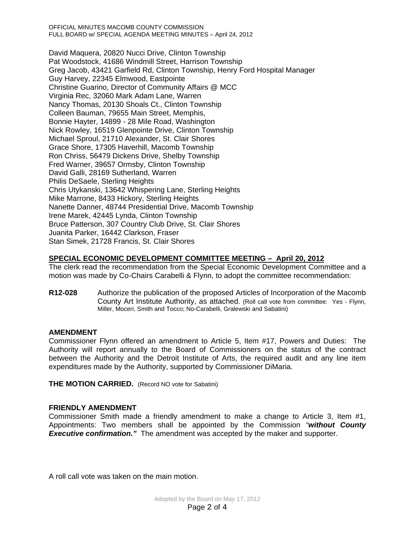OFFICIAL MINUTES MACOMB COUNTY COMMISSION FULL BOARD w/ SPECIAL AGENDA MEETING MINUTES – April 24, 2012

David Maquera, 20820 Nucci Drive, Clinton Township Pat Woodstock, 41686 Windmill Street, Harrison Township Greg Jacob, 43421 Garfield Rd, Clinton Township, Henry Ford Hospital Manager Guy Harvey, 22345 Elmwood, Eastpointe Christine Guarino, Director of Community Affairs @ MCC Virginia Rec, 32060 Mark Adam Lane, Warren Nancy Thomas, 20130 Shoals Ct., Clinton Township Colleen Bauman, 79655 Main Street, Memphis, Bonnie Hayter, 14899 - 28 Mile Road, Washington Nick Rowley, 16519 Glenpointe Drive, Clinton Township Michael Sproul, 21710 Alexander, St. Clair Shores Grace Shore, 17305 Haverhill, Macomb Township Ron Chriss, 56479 Dickens Drive, Shelby Township Fred Warner, 39657 Ormsby, Clinton Township David Galli, 28169 Sutherland, Warren Philis DeSaele, Sterling Heights Chris Utykanski, 13642 Whispering Lane, Sterling Heights Mike Marrone, 8433 Hickory, Sterling Heights Nanette Danner, 48744 Presidential Drive, Macomb Township Irene Marek, 42445 Lynda, Clinton Township Bruce Patterson, 307 Country Club Drive, St. Clair Shores Juanita Parker, 16442 Clarkson, Fraser Stan Simek, 21728 Francis, St. Clair Shores

## **SPECIAL ECONOMIC DEVELOPMENT COMMITTEE MEETING – April 20, 2012**

The clerk read the recommendation from the Special Economic Development Committee and a motion was made by Co-Chairs Carabelli & Flynn, to adopt the committee recommendation:

**R12-028** Authorize the publication of the proposed Articles of Incorporation of the Macomb County Art Institute Authority, as attached. (Roll call vote from committee: Yes - Flynn, Miller, Moceri, Smith and Tocco; No-Carabelli, Gralewski and Sabatini)

### **AMENDMENT**

Commissioner Flynn offered an amendment to Article 5, Item #17, Powers and Duties: The Authority will report annually to the Board of Commissioners on the status of the contract between the Authority and the Detroit Institute of Arts, the required audit and any line item expenditures made by the Authority, supported by Commissioner DiMaria.

**THE MOTION CARRIED.** (Record NO vote for Sabatini)

### **FRIENDLY AMENDMENT**

Commissioner Smith made a friendly amendment to make a change to Article 3, Item #1, Appointments: Two members shall be appointed by the Commission *"without County Executive confirmation."* The amendment was accepted by the maker and supporter.

A roll call vote was taken on the main motion.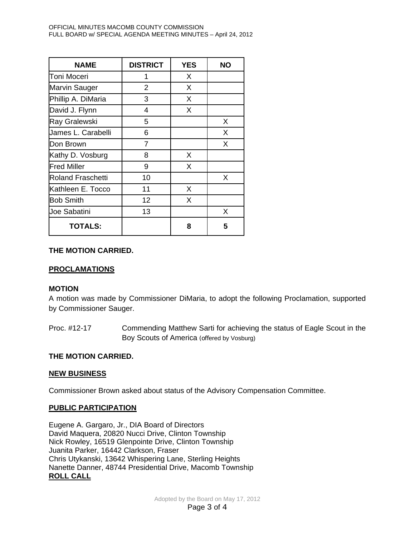| <b>NAME</b>              | <b>DISTRICT</b> | <b>YES</b> | <b>NO</b> |
|--------------------------|-----------------|------------|-----------|
| Toni Moceri              | 1               | X          |           |
| <b>Marvin Sauger</b>     | 2               | X          |           |
| Phillip A. DiMaria       | 3               | X          |           |
| David J. Flynn           | 4               | X          |           |
| Ray Gralewski            | 5               |            | X         |
| James L. Carabelli       | 6               |            | X         |
| Don Brown                | 7               |            | X         |
| Kathy D. Vosburg         | 8               | X          |           |
| <b>Fred Miller</b>       | 9               | X          |           |
| <b>Roland Fraschetti</b> | 10              |            | X         |
| Kathleen E. Tocco        | 11              | X          |           |
| <b>Bob Smith</b>         | 12              | X          |           |
| <b>Joe Sabatini</b>      | 13              |            | X         |
| <b>TOTALS:</b>           |                 | 8          | 5         |

## **THE MOTION CARRIED.**

### **PROCLAMATIONS**

### **MOTION**

A motion was made by Commissioner DiMaria, to adopt the following Proclamation, supported by Commissioner Sauger.

Proc. #12-17 Commending Matthew Sarti for achieving the status of Eagle Scout in the Boy Scouts of America (offered by Vosburg)

### **THE MOTION CARRIED.**

### **NEW BUSINESS**

Commissioner Brown asked about status of the Advisory Compensation Committee.

### **PUBLIC PARTICIPATION**

Eugene A. Gargaro, Jr., DIA Board of Directors David Maquera, 20820 Nucci Drive, Clinton Township Nick Rowley, 16519 Glenpointe Drive, Clinton Township Juanita Parker, 16442 Clarkson, Fraser Chris Utykanski, 13642 Whispering Lane, Sterling Heights Nanette Danner, 48744 Presidential Drive, Macomb Township **ROLL CALL**